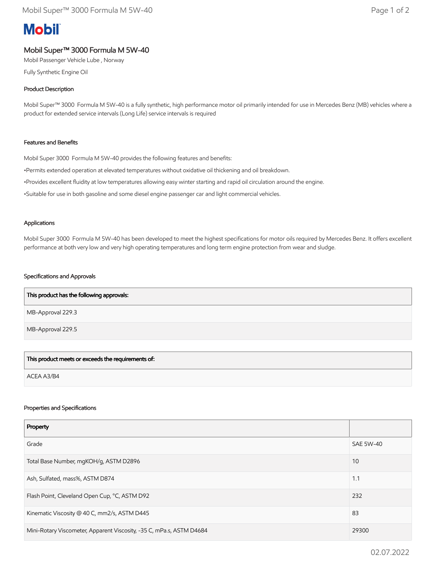# **Mobil**

## Mobil Super™ 3000 Formula M 5W-40

Mobil Passenger Vehicle Lube , Norway

Fully Synthetic Engine Oil

### Product Description

Mobil Super™ 3000 Formula M 5W-40 is a fully synthetic, high performance motor oil primarily intended for use in Mercedes Benz (MB) vehicles where a product for extended service intervals (Long Life) service intervals is required

#### Features and Benefits

Mobil Super 3000 Formula M 5W-40 provides the following features and benefits:

•Permits extended operation at elevated temperatures without oxidative oil thickening and oil breakdown.

•Provides excellent fluidity at low temperatures allowing easy winter starting and rapid oil circulation around the engine.

•Suitable for use in both gasoline and some diesel engine passenger car and light commercial vehicles.

#### Applications

Mobil Super 3000 Formula M 5W-40 has been developed to meet the highest specifications for motor oils required by Mercedes Benz. It offers excellent performance at both very low and very high operating temperatures and long term engine protection from wear and sludge.

#### Specifications and Approvals

| This product has the following approvals: |  |
|-------------------------------------------|--|
| MB-Approval 229.3                         |  |
| MB-Approval 229.5                         |  |

This product meets or exceeds the requirements of:

ACEA A3/B4

#### Properties and Specifications

| Property                                                             |                  |
|----------------------------------------------------------------------|------------------|
| Grade                                                                | <b>SAE 5W-40</b> |
| Total Base Number, mgKOH/g, ASTM D2896                               | 10               |
| Ash, Sulfated, mass%, ASTM D874                                      | 1.1              |
| Flash Point, Cleveland Open Cup, °C, ASTM D92                        | 232              |
| Kinematic Viscosity @ 40 C, mm2/s, ASTM D445                         | 83               |
| Mini-Rotary Viscometer, Apparent Viscosity, -35 C, mPa.s, ASTM D4684 | 29300            |